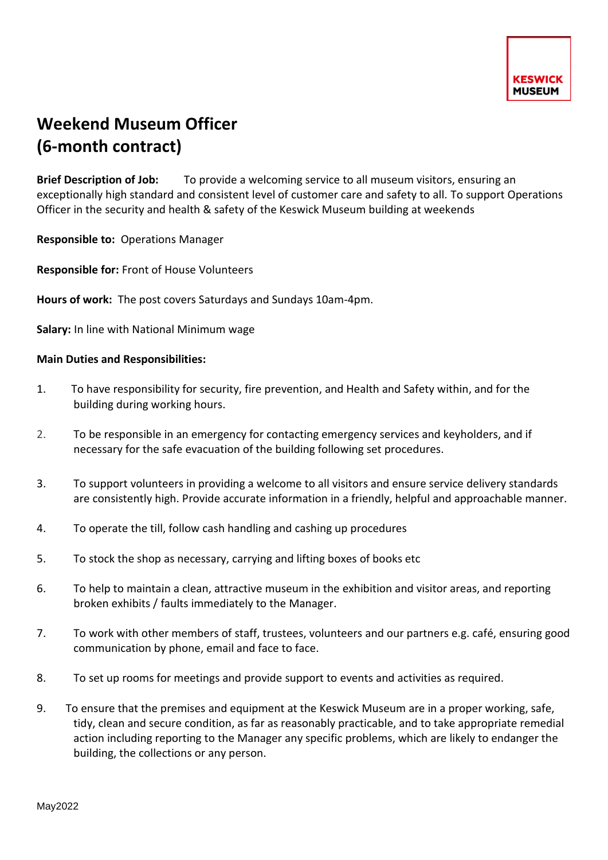## **Weekend Museum Officer (6-month contract)**

**Brief Description of Job:** To provide a welcoming service to all museum visitors, ensuring an exceptionally high standard and consistent level of customer care and safety to all. To support Operations Officer in the security and health & safety of the Keswick Museum building at weekends

**Responsible to:** Operations Manager

**Responsible for:** Front of House Volunteers

**Hours of work:** The post covers Saturdays and Sundays 10am-4pm.

**Salary:** In line with National Minimum wage

## **Main Duties and Responsibilities:**

- 1. To have responsibility for security, fire prevention, and Health and Safety within, and for the building during working hours.
- 2. To be responsible in an emergency for contacting emergency services and keyholders, and if necessary for the safe evacuation of the building following set procedures.
- 3. To support volunteers in providing a welcome to all visitors and ensure service delivery standards are consistently high. Provide accurate information in a friendly, helpful and approachable manner.
- 4. To operate the till, follow cash handling and cashing up procedures
- 5. To stock the shop as necessary, carrying and lifting boxes of books etc
- 6. To help to maintain a clean, attractive museum in the exhibition and visitor areas, and reporting broken exhibits / faults immediately to the Manager.
- 7. To work with other members of staff, trustees, volunteers and our partners e.g. café, ensuring good communication by phone, email and face to face.
- 8. To set up rooms for meetings and provide support to events and activities as required.
- 9. To ensure that the premises and equipment at the Keswick Museum are in a proper working, safe, tidy, clean and secure condition, as far as reasonably practicable, and to take appropriate remedial action including reporting to the Manager any specific problems, which are likely to endanger the building, the collections or any person.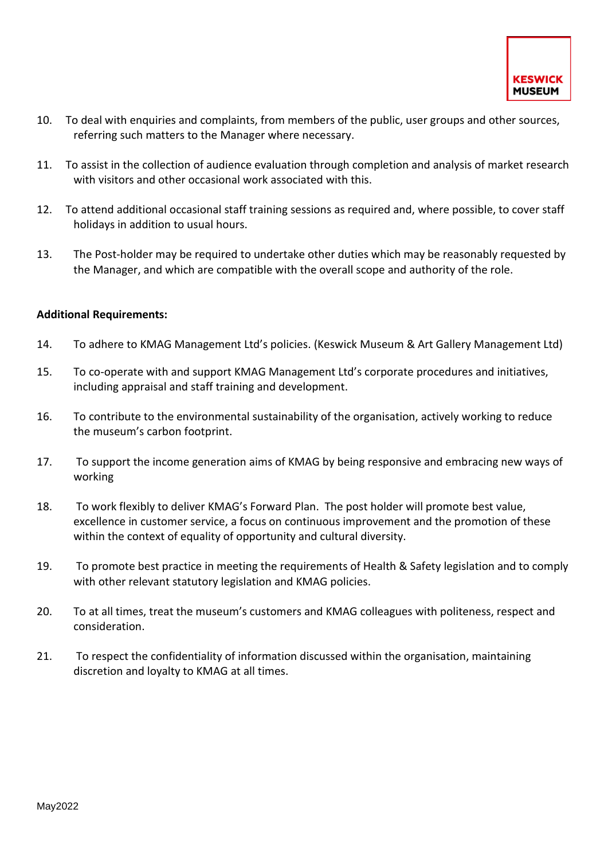- 10. To deal with enquiries and complaints, from members of the public, user groups and other sources, referring such matters to the Manager where necessary.
- 11. To assist in the collection of audience evaluation through completion and analysis of market research with visitors and other occasional work associated with this.
- 12. To attend additional occasional staff training sessions as required and, where possible, to cover staff holidays in addition to usual hours.
- 13. The Post-holder may be required to undertake other duties which may be reasonably requested by the Manager, and which are compatible with the overall scope and authority of the role.

## **Additional Requirements:**

- 14. To adhere to KMAG Management Ltd's policies. (Keswick Museum & Art Gallery Management Ltd)
- 15. To co-operate with and support KMAG Management Ltd's corporate procedures and initiatives, including appraisal and staff training and development.
- 16. To contribute to the environmental sustainability of the organisation, actively working to reduce the museum's carbon footprint.
- 17. To support the income generation aims of KMAG by being responsive and embracing new ways of working
- 18. To work flexibly to deliver KMAG's Forward Plan. The post holder will promote best value, excellence in customer service, a focus on continuous improvement and the promotion of these within the context of equality of opportunity and cultural diversity.
- 19. To promote best practice in meeting the requirements of Health & Safety legislation and to comply with other relevant statutory legislation and KMAG policies.
- 20. To at all times, treat the museum's customers and KMAG colleagues with politeness, respect and consideration.
- 21. To respect the confidentiality of information discussed within the organisation, maintaining discretion and loyalty to KMAG at all times.